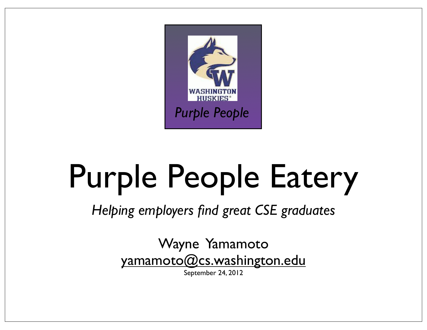

# Purple People Eatery

*Helping employers find great CSE graduates*

Wayne Yamamoto yamamoto@cs.washington.edu

September 24, 2012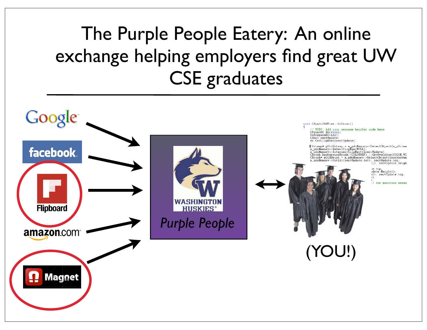### The Purple People Eatery: An online exchange helping employers find great UW CSE graduates

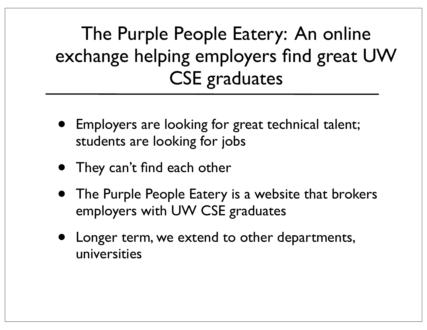### The Purple People Eatery: An online exchange helping employers find great UW CSE graduates

- Employers are looking for great technical talent; students are looking for jobs
- They can't find each other
- The Purple People Eatery is a website that brokers employers with UW CSE graduates
- Longer term, we extend to other departments, universities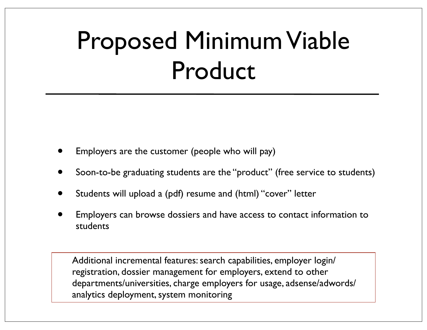## Proposed Minimum Viable Product

- Employers are the customer (people who will pay)
- Soon-to-be graduating students are the "product" (free service to students)
- Students will upload a (pdf) resume and (html) "cover" letter
- Employers can browse dossiers and have access to contact information to students

Additional incremental features: search capabilities, employer login/ registration, dossier management for employers, extend to other departments/universities, charge employers for usage, adsense/adwords/ analytics deployment, system monitoring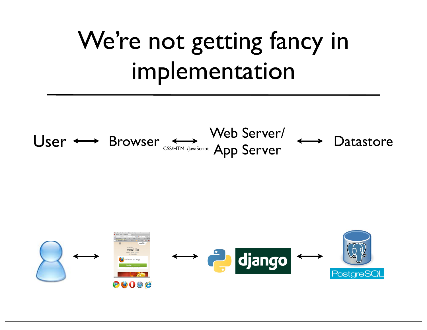